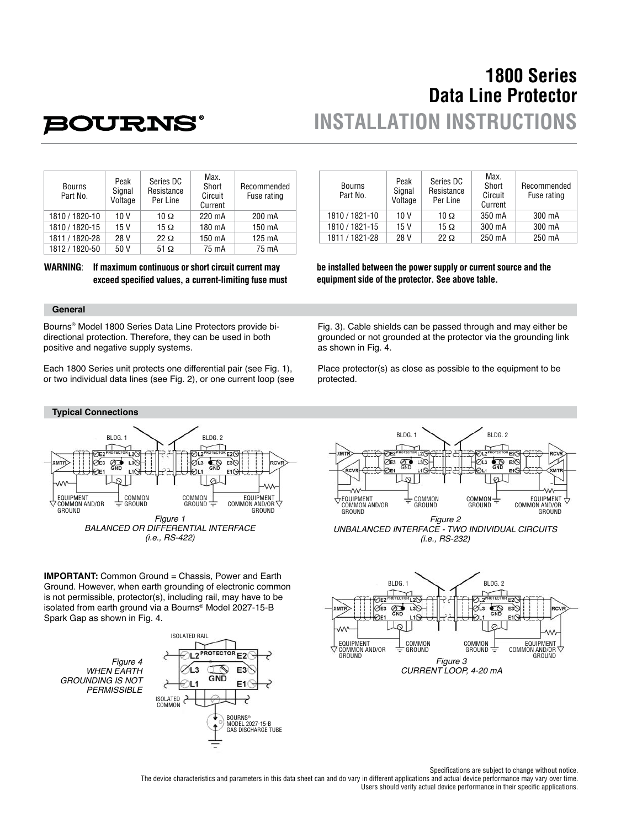# **1800 Series Data Line Protector INSTALLATION INSTRUCTIONS**

# **POURNS®**

| <b>Bourns</b><br>Part No. | Peak<br>Signal<br>Voltage | Series DC<br>Resistance<br>Per Line | Max.<br>Short<br>Circuit<br>Current | Recommended<br>Fuse rating |
|---------------------------|---------------------------|-------------------------------------|-------------------------------------|----------------------------|
| 1810 / 1820-10            | 10 V                      | 10 $\Omega$                         | 220 mA                              | 200 mA                     |
| 1810 / 1820-15            | 15V                       | 15 $\Omega$                         | 180 mA                              | 150 mA                     |
| 1811 / 1820-28            | 28 V                      | $22 \Omega$                         | 150 mA                              | 125 mA                     |
| 1812 / 1820-50            | 50 V                      | $51 \Omega$                         | 75 mA                               | 75 mA                      |

**WARNING**: **If maximum continuous or short circuit current may**  exceed specified values, a current-limiting fuse must

### **General**

Bourns® Model 1800 Series Data Line Protectors provide bidirectional protection. Therefore, they can be used in both positive and negative supply systems.

Each 1800 Series unit protects one differential pair (see Fig. 1), or two individual data lines (see Fig. 2), or one current loop (see



**IMPORTANT:** Common Ground = Chassis, Power and Earth Ground. However, when earth grounding of electronic common is not permissible, protector(s), including rail, may have to be isolated from earth ground via a Bourns® Model 2027-15-B Spark Gap as shown in Fig. 4.

*Figure 4 WHEN EARTH GROUNDING IS NOT PERMISSIBLE*



| <b>Bourns</b><br>Part No. | Peak<br>Signal<br>Voltage | Series DC<br>Resistance<br>Per Line | Max.<br>Short<br>Circuit<br>Current | Recommended<br>Fuse rating |
|---------------------------|---------------------------|-------------------------------------|-------------------------------------|----------------------------|
| 1810 / 1821-10            | 10 V                      | 10 $\Omega$                         | 350 mA                              | 300 mA                     |
| 1810 / 1821-15            | 15 V                      | 15 $\Omega$                         | 300 mA                              | 300 mA                     |
| 1811 / 1821-28            | 28 V                      | $22 \Omega$                         | 250 mA                              | 250 mA                     |

**be installed between the power supply or current source and the equipment side of the protector. See above table.**

Fig. 3). Cable shields can be passed through and may either be grounded or not grounded at the protector via the grounding link as shown in Fig. 4.

Place protector(s) as close as possible to the equipment to be protected.





Specifications are subject to change without notice.

The device characteristics and parameters in this data sheet can and do vary in different applications and actual device performance may vary over time. Users should verify actual device performance in their specific applications.